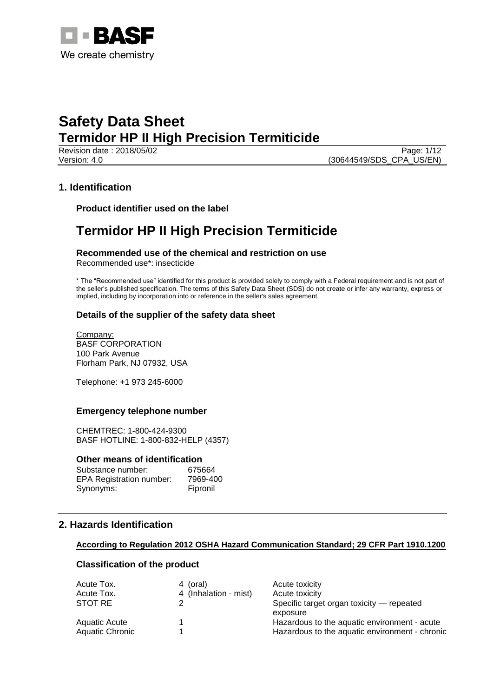

Revision date : 2018/05/02 Page: 1/12 Version: 4.0 (30644549/SDS\_CPA\_US/EN)

### **1. Identification**

**Product identifier used on the label**

# **Termidor HP II High Precision Termiticide**

#### **Recommended use of the chemical and restriction on use** Recommended use\*: insecticide

\* The "Recommended use" identified for this product is provided solely to comply with a Federal requirement and is not part of the seller's published specification. The terms of this Safety Data Sheet (SDS) do not create or infer any warranty, express or implied, including by incorporation into or reference in the seller's sales agreement.

### **Details of the supplier of the safety data sheet**

Company: BASF CORPORATION 100 Park Avenue Florham Park, NJ 07932, USA

Telephone: +1 973 245-6000

### **Emergency telephone number**

CHEMTREC: 1-800-424-9300 BASF HOTLINE: 1-800-832-HELP (4357)

#### **Other means of identification**

| Substance number:               | 675664   |
|---------------------------------|----------|
| <b>EPA Registration number:</b> | 7969-400 |
| Synonyms:                       | Fipronil |

# **2. Hazards Identification**

### **According to Regulation 2012 OSHA Hazard Communication Standard; 29 CFR Part 1910.1200**

### **Classification of the product**

| Acute Tox.      | 4 (oral)              | Acute toxicity                                 |
|-----------------|-----------------------|------------------------------------------------|
| Acute Tox.      | 4 (Inhalation - mist) | Acute toxicity                                 |
| STOT RE         |                       | Specific target organ toxicity — repeated      |
|                 |                       | exposure                                       |
| Aquatic Acute   |                       | Hazardous to the aquatic environment - acute   |
| Aquatic Chronic |                       | Hazardous to the aquatic environment - chronic |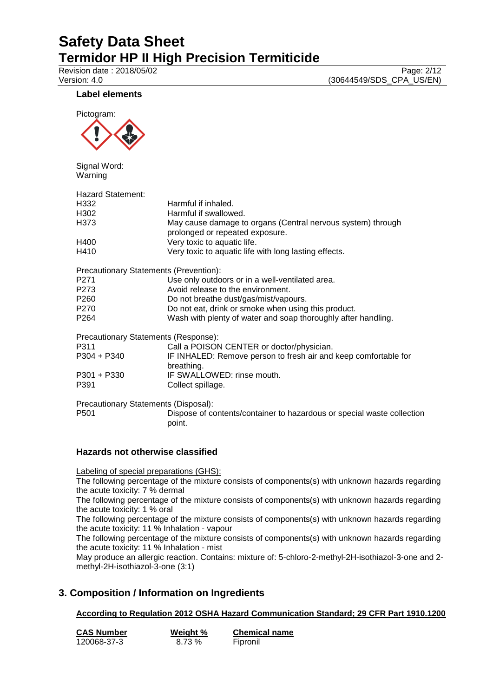Revision date : 2018/05/02<br>
Version: 4.0 (30644549/SDS\_CPA\_US/EN) (30644549/SDS\_CPA\_US/EN)

### **Label elements**



Signal Word: Warning

| <b>Hazard Statement:</b>               |                                                                                                |
|----------------------------------------|------------------------------------------------------------------------------------------------|
| H332                                   | Harmful if inhaled.                                                                            |
| H302                                   | Harmful if swallowed.                                                                          |
| H373                                   | May cause damage to organs (Central nervous system) through<br>prolonged or repeated exposure. |
| H400                                   | Very toxic to aquatic life.                                                                    |
| H410                                   | Very toxic to aquatic life with long lasting effects.                                          |
| Precautionary Statements (Prevention): |                                                                                                |
| P271                                   | Use only outdoors or in a well-ventilated area.                                                |
| P273                                   | Avoid release to the environment.                                                              |
| P260                                   | Do not breathe dust/gas/mist/vapours.                                                          |
| P270                                   | Do not eat, drink or smoke when using this product.                                            |
| P264                                   | Wash with plenty of water and soap thoroughly after handling.                                  |
| Precautionary Statements (Response):   |                                                                                                |
| P311                                   | Call a POISON CENTER or doctor/physician.                                                      |
| P304 + P340                            | IF INHALED: Remove person to fresh air and keep comfortable for<br>breathing.                  |
| P301 + P330                            | IF SWALLOWED: rinse mouth.                                                                     |
| P391                                   | Collect spillage.                                                                              |
| Precautionary Statements (Disposal):   |                                                                                                |
| P501                                   | Dispose of contents/container to hazardous or special waste collection<br>point.               |
|                                        |                                                                                                |

### **Hazards not otherwise classified**

Labeling of special preparations (GHS):

The following percentage of the mixture consists of components(s) with unknown hazards regarding the acute toxicity: 7 % dermal

The following percentage of the mixture consists of components(s) with unknown hazards regarding the acute toxicity: 1 % oral

The following percentage of the mixture consists of components(s) with unknown hazards regarding the acute toxicity: 11 % Inhalation - vapour

The following percentage of the mixture consists of components(s) with unknown hazards regarding the acute toxicity: 11 % Inhalation - mist

May produce an allergic reaction. Contains: mixture of: 5-chloro-2-methyl-2H-isothiazol-3-one and 2 methyl-2H-isothiazol-3-one (3:1)

# **3. Composition / Information on Ingredients**

### **According to Regulation 2012 OSHA Hazard Communication Standard; 29 CFR Part 1910.1200**

| <b>CAS Number</b> | Weight % | <b>Chemical name</b> |
|-------------------|----------|----------------------|
| 120068-37-3       | 8.73 %   | Fipronil             |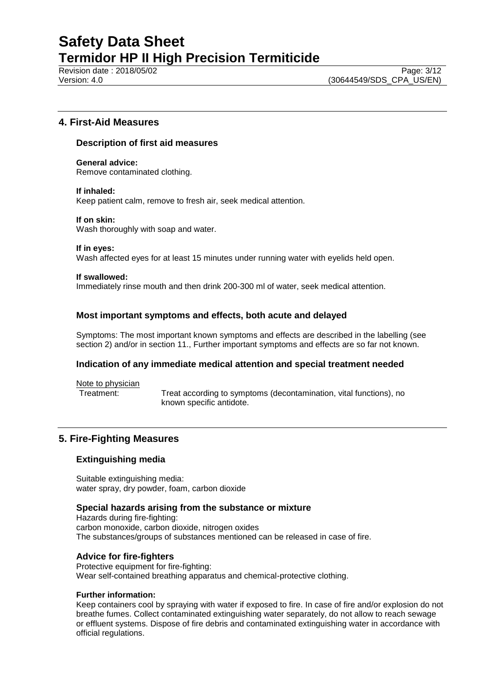Revision date : 2018/05/02 Page: 3/12

### **4. First-Aid Measures**

#### **Description of first aid measures**

**General advice:** Remove contaminated clothing.

#### **If inhaled:**

Keep patient calm, remove to fresh air, seek medical attention.

#### **If on skin:**

Wash thoroughly with soap and water.

#### **If in eyes:**

Wash affected eyes for at least 15 minutes under running water with eyelids held open.

#### **If swallowed:**

Immediately rinse mouth and then drink 200-300 ml of water, seek medical attention.

### **Most important symptoms and effects, both acute and delayed**

Symptoms: The most important known symptoms and effects are described in the labelling (see section 2) and/or in section 11., Further important symptoms and effects are so far not known.

### **Indication of any immediate medical attention and special treatment needed**

Note to physician

Treatment: Treat according to symptoms (decontamination, vital functions), no known specific antidote.

# **5. Fire-Fighting Measures**

### **Extinguishing media**

Suitable extinguishing media: water spray, dry powder, foam, carbon dioxide

#### **Special hazards arising from the substance or mixture**

Hazards during fire-fighting: carbon monoxide, carbon dioxide, nitrogen oxides The substances/groups of substances mentioned can be released in case of fire.

### **Advice for fire-fighters**

Protective equipment for fire-fighting: Wear self-contained breathing apparatus and chemical-protective clothing.

#### **Further information:**

Keep containers cool by spraying with water if exposed to fire. In case of fire and/or explosion do not breathe fumes. Collect contaminated extinguishing water separately, do not allow to reach sewage or effluent systems. Dispose of fire debris and contaminated extinguishing water in accordance with official regulations.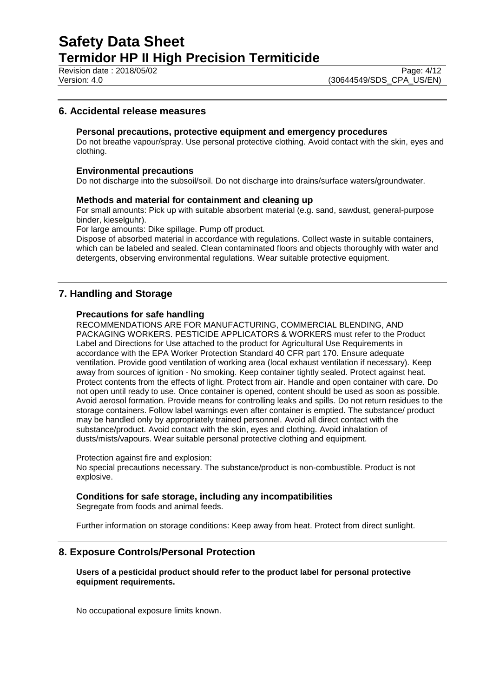Revision date : 2018/05/02<br>
Version: 4.0<br>
Version: 4.0 (30644549/SDS CPA US/EN)

## **6. Accidental release measures**

#### **Personal precautions, protective equipment and emergency procedures**

Do not breathe vapour/spray. Use personal protective clothing. Avoid contact with the skin, eyes and clothing.

#### **Environmental precautions**

Do not discharge into the subsoil/soil. Do not discharge into drains/surface waters/groundwater.

#### **Methods and material for containment and cleaning up**

For small amounts: Pick up with suitable absorbent material (e.g. sand, sawdust, general-purpose binder, kieselguhr).

For large amounts: Dike spillage. Pump off product.

Dispose of absorbed material in accordance with regulations. Collect waste in suitable containers, which can be labeled and sealed. Clean contaminated floors and objects thoroughly with water and detergents, observing environmental regulations. Wear suitable protective equipment.

# **7. Handling and Storage**

#### **Precautions for safe handling**

RECOMMENDATIONS ARE FOR MANUFACTURING, COMMERCIAL BLENDING, AND PACKAGING WORKERS. PESTICIDE APPLICATORS & WORKERS must refer to the Product Label and Directions for Use attached to the product for Agricultural Use Requirements in accordance with the EPA Worker Protection Standard 40 CFR part 170. Ensure adequate ventilation. Provide good ventilation of working area (local exhaust ventilation if necessary). Keep away from sources of ignition - No smoking. Keep container tightly sealed. Protect against heat. Protect contents from the effects of light. Protect from air. Handle and open container with care. Do not open until ready to use. Once container is opened, content should be used as soon as possible. Avoid aerosol formation. Provide means for controlling leaks and spills. Do not return residues to the storage containers. Follow label warnings even after container is emptied. The substance/ product may be handled only by appropriately trained personnel. Avoid all direct contact with the substance/product. Avoid contact with the skin, eyes and clothing. Avoid inhalation of dusts/mists/vapours. Wear suitable personal protective clothing and equipment.

Protection against fire and explosion:

No special precautions necessary. The substance/product is non-combustible. Product is not explosive.

#### **Conditions for safe storage, including any incompatibilities**

Segregate from foods and animal feeds.

Further information on storage conditions: Keep away from heat. Protect from direct sunlight.

#### **8. Exposure Controls/Personal Protection**

#### **Users of a pesticidal product should refer to the product label for personal protective equipment requirements.**

No occupational exposure limits known.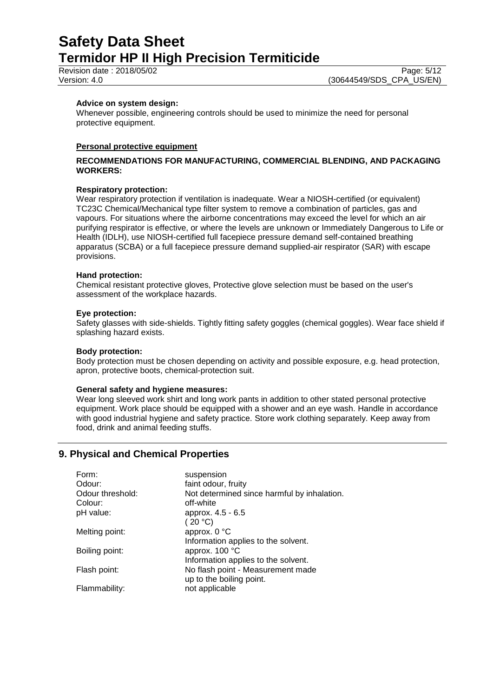Revision date : 2018/05/02 Page: 5/12

#### **Advice on system design:**

Whenever possible, engineering controls should be used to minimize the need for personal protective equipment.

#### **Personal protective equipment**

#### **RECOMMENDATIONS FOR MANUFACTURING, COMMERCIAL BLENDING, AND PACKAGING WORKERS:**

#### **Respiratory protection:**

Wear respiratory protection if ventilation is inadequate. Wear a NIOSH-certified (or equivalent) TC23C Chemical/Mechanical type filter system to remove a combination of particles, gas and vapours. For situations where the airborne concentrations may exceed the level for which an air purifying respirator is effective, or where the levels are unknown or Immediately Dangerous to Life or Health (IDLH), use NIOSH-certified full facepiece pressure demand self-contained breathing apparatus (SCBA) or a full facepiece pressure demand supplied-air respirator (SAR) with escape provisions.

#### **Hand protection:**

Chemical resistant protective gloves, Protective glove selection must be based on the user's assessment of the workplace hazards.

#### **Eye protection:**

Safety glasses with side-shields. Tightly fitting safety goggles (chemical goggles). Wear face shield if splashing hazard exists.

#### **Body protection:**

Body protection must be chosen depending on activity and possible exposure, e.g. head protection, apron, protective boots, chemical-protection suit.

#### **General safety and hygiene measures:**

Wear long sleeved work shirt and long work pants in addition to other stated personal protective equipment. Work place should be equipped with a shower and an eye wash. Handle in accordance with good industrial hygiene and safety practice. Store work clothing separately. Keep away from food, drink and animal feeding stuffs.

# **9. Physical and Chemical Properties**

| suspension                                  |
|---------------------------------------------|
| faint odour, fruity                         |
| Not determined since harmful by inhalation. |
| off-white                                   |
| approx. 4.5 - 6.5                           |
| (20 °C)                                     |
| approx. 0 °C                                |
| Information applies to the solvent.         |
| approx. 100 °C                              |
| Information applies to the solvent.         |
| No flash point - Measurement made           |
| up to the boiling point.                    |
| not applicable                              |
|                                             |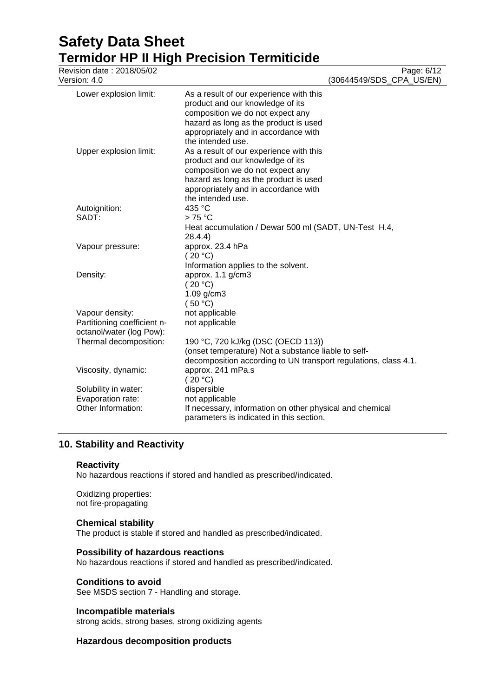| Revision date: 2018/05/02<br>Version: 4.0                                  | Page: 6/12<br>(30644549/SDS_CPA_US/EN)                                                                                                                                                                                |
|----------------------------------------------------------------------------|-----------------------------------------------------------------------------------------------------------------------------------------------------------------------------------------------------------------------|
| Lower explosion limit:                                                     | As a result of our experience with this<br>product and our knowledge of its<br>composition we do not expect any<br>hazard as long as the product is used<br>appropriately and in accordance with<br>the intended use. |
| Upper explosion limit:                                                     | As a result of our experience with this<br>product and our knowledge of its<br>composition we do not expect any<br>hazard as long as the product is used<br>appropriately and in accordance with<br>the intended use. |
| Autoignition:                                                              | 435 °C                                                                                                                                                                                                                |
| SADT:                                                                      | $>75^{\circ}$ C<br>Heat accumulation / Dewar 500 ml (SADT, UN-Test H.4,<br>28.4.4)                                                                                                                                    |
| Vapour pressure:                                                           | approx. 23.4 hPa<br>(20 °C)<br>Information applies to the solvent.                                                                                                                                                    |
| Density:                                                                   | approx. 1.1 g/cm3<br>(20 °C)<br>1.09 g/cm3<br>(50 °C)                                                                                                                                                                 |
| Vapour density:<br>Partitioning coefficient n-<br>octanol/water (log Pow): | not applicable<br>not applicable                                                                                                                                                                                      |
| Thermal decomposition:                                                     | 190 °C, 720 kJ/kg (DSC (OECD 113))<br>(onset temperature) Not a substance liable to self-<br>decomposition according to UN transport regulations, class 4.1.                                                          |
| Viscosity, dynamic:                                                        | approx. 241 mPa.s<br>(20 °C)                                                                                                                                                                                          |
| Solubility in water:                                                       | dispersible                                                                                                                                                                                                           |
| Evaporation rate:<br>Other Information:                                    | not applicable<br>If necessary, information on other physical and chemical<br>parameters is indicated in this section.                                                                                                |

# **10. Stability and Reactivity**

### **Reactivity**

No hazardous reactions if stored and handled as prescribed/indicated.

Oxidizing properties: not fire-propagating

### **Chemical stability**

The product is stable if stored and handled as prescribed/indicated.

### **Possibility of hazardous reactions**

No hazardous reactions if stored and handled as prescribed/indicated.

### **Conditions to avoid**

See MSDS section 7 - Handling and storage.

#### **Incompatible materials**

strong acids, strong bases, strong oxidizing agents

### **Hazardous decomposition products**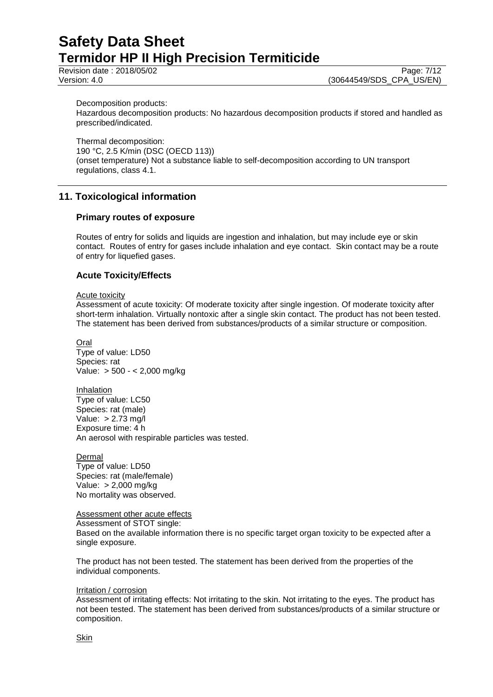Revision date : 2018/05/02 Page: 7/12

Version: 4.0 (30644549/SDS\_CPA\_US/EN)

Decomposition products:

Hazardous decomposition products: No hazardous decomposition products if stored and handled as prescribed/indicated.

Thermal decomposition: 190 °C, 2.5 K/min (DSC (OECD 113)) (onset temperature) Not a substance liable to self-decomposition according to UN transport regulations, class 4.1.

# **11. Toxicological information**

### **Primary routes of exposure**

Routes of entry for solids and liquids are ingestion and inhalation, but may include eye or skin contact. Routes of entry for gases include inhalation and eye contact. Skin contact may be a route of entry for liquefied gases.

### **Acute Toxicity/Effects**

#### Acute toxicity

Assessment of acute toxicity: Of moderate toxicity after single ingestion. Of moderate toxicity after short-term inhalation. Virtually nontoxic after a single skin contact. The product has not been tested. The statement has been derived from substances/products of a similar structure or composition.

Oral Type of value: LD50 Species: rat Value: > 500 - < 2,000 mg/kg

Inhalation Type of value: LC50 Species: rat (male) Value: > 2.73 mg/l Exposure time: 4 h An aerosol with respirable particles was tested.

**Dermal** Type of value: LD50 Species: rat (male/female) Value: > 2,000 mg/kg No mortality was observed.

Assessment other acute effects Assessment of STOT single: Based on the available information there is no specific target organ toxicity to be expected after a single exposure.

The product has not been tested. The statement has been derived from the properties of the individual components.

#### Irritation / corrosion

Assessment of irritating effects: Not irritating to the skin. Not irritating to the eyes. The product has not been tested. The statement has been derived from substances/products of a similar structure or composition.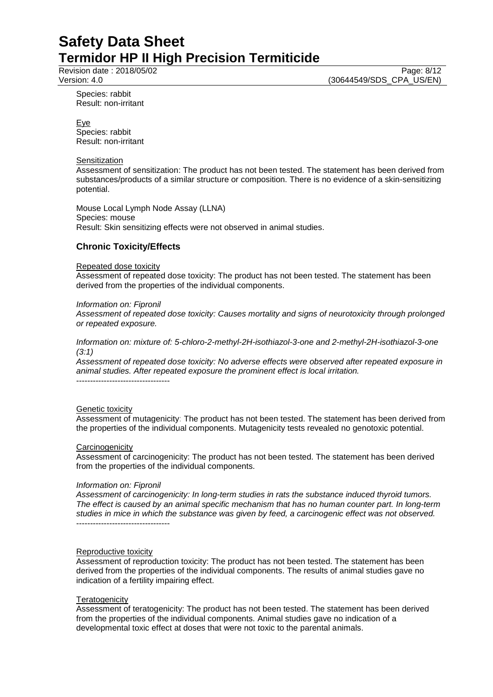Revision date : 2018/05/02 Page: 8/12

Version: 4.0 (30644549/SDS\_CPA\_US/EN)

Species: rabbit Result: non-irritant

Eye Species: rabbit Result: non-irritant

#### **Sensitization**

Assessment of sensitization: The product has not been tested. The statement has been derived from substances/products of a similar structure or composition. There is no evidence of a skin-sensitizing potential.

Mouse Local Lymph Node Assay (LLNA) Species: mouse Result: Skin sensitizing effects were not observed in animal studies.

# **Chronic Toxicity/Effects**

#### Repeated dose toxicity

Assessment of repeated dose toxicity: The product has not been tested. The statement has been derived from the properties of the individual components.

#### *Information on: Fipronil*

*Assessment of repeated dose toxicity: Causes mortality and signs of neurotoxicity through prolonged or repeated exposure.*

*Information on: mixture of: 5-chloro-2-methyl-2H-isothiazol-3-one and 2-methyl-2H-isothiazol-3-one (3:1)*

*Assessment of repeated dose toxicity: No adverse effects were observed after repeated exposure in animal studies. After repeated exposure the prominent effect is local irritation.*

#### **Genetic toxicity**

Assessment of mutagenicity: The product has not been tested. The statement has been derived from the properties of the individual components. Mutagenicity tests revealed no genotoxic potential.

#### **Carcinogenicity**

Assessment of carcinogenicity: The product has not been tested. The statement has been derived from the properties of the individual components.

#### *Information on: Fipronil*

*Assessment of carcinogenicity: In long-term studies in rats the substance induced thyroid tumors. The effect is caused by an animal specific mechanism that has no human counter part. In long-term studies in mice in which the substance was given by feed, a carcinogenic effect was not observed.* ----------------------------------

#### Reproductive toxicity

Assessment of reproduction toxicity: The product has not been tested. The statement has been derived from the properties of the individual components. The results of animal studies gave no indication of a fertility impairing effect.

#### **Teratogenicity**

Assessment of teratogenicity: The product has not been tested. The statement has been derived from the properties of the individual components. Animal studies gave no indication of a developmental toxic effect at doses that were not toxic to the parental animals.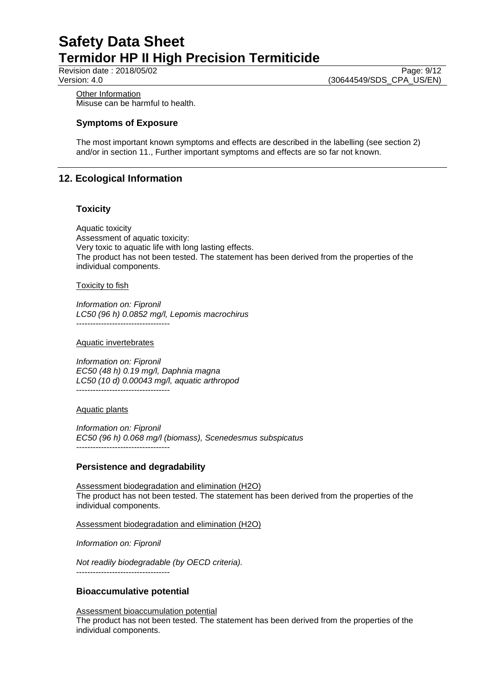Revision date : 2018/05/02 Page: 9/12

Version: 4.0 (30644549/SDS\_CPA\_US/EN)

**Other Information** Misuse can be harmful to health.

### **Symptoms of Exposure**

The most important known symptoms and effects are described in the labelling (see section 2) and/or in section 11., Further important symptoms and effects are so far not known.

# **12. Ecological Information**

### **Toxicity**

Aquatic toxicity Assessment of aquatic toxicity: Very toxic to aquatic life with long lasting effects. The product has not been tested. The statement has been derived from the properties of the individual components.

#### Toxicity to fish

*Information on: Fipronil LC50 (96 h) 0.0852 mg/l, Lepomis macrochirus* ----------------------------------

#### Aquatic invertebrates

*Information on: Fipronil EC50 (48 h) 0.19 mg/l, Daphnia magna LC50 (10 d) 0.00043 mg/l, aquatic arthropod* ----------------------------------

Aquatic plants

*Information on: Fipronil EC50 (96 h) 0.068 mg/l (biomass), Scenedesmus subspicatus* ----------------------------------

### **Persistence and degradability**

Assessment biodegradation and elimination (H2O) The product has not been tested. The statement has been derived from the properties of the individual components.

Assessment biodegradation and elimination (H2O)

*Information on: Fipronil*

*Not readily biodegradable (by OECD criteria).* ----------------------------------

### **Bioaccumulative potential**

Assessment bioaccumulation potential The product has not been tested. The statement has been derived from the properties of the individual components.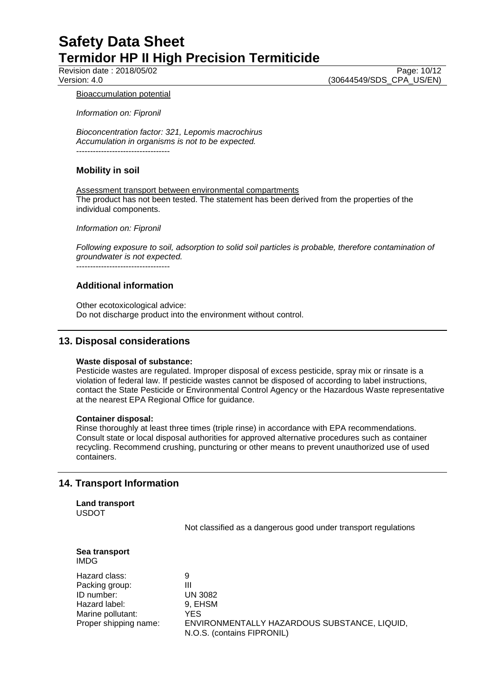Revision date : 2018/05/02 Page: 10/12<br>Version: 4.0 (30644549/SDS\_CPA\_US/EN) (30644549/SDS\_CPA\_US/EN)

#### Bioaccumulation potential

*Information on: Fipronil*

*Bioconcentration factor: 321, Lepomis macrochirus Accumulation in organisms is not to be expected.* ----------------------------------

### **Mobility in soil**

Assessment transport between environmental compartments The product has not been tested. The statement has been derived from the properties of the individual components.

*Information on: Fipronil*

*Following exposure to soil, adsorption to solid soil particles is probable, therefore contamination of groundwater is not expected.*

----------------------------------

# **Additional information**

Other ecotoxicological advice: Do not discharge product into the environment without control.

# **13. Disposal considerations**

#### **Waste disposal of substance:**

Pesticide wastes are regulated. Improper disposal of excess pesticide, spray mix or rinsate is a violation of federal law. If pesticide wastes cannot be disposed of according to label instructions, contact the State Pesticide or Environmental Control Agency or the Hazardous Waste representative at the nearest EPA Regional Office for guidance.

#### **Container disposal:**

Rinse thoroughly at least three times (triple rinse) in accordance with EPA recommendations. Consult state or local disposal authorities for approved alternative procedures such as container recycling. Recommend crushing, puncturing or other means to prevent unauthorized use of used containers.

# **14. Transport Information**

**Land transport** USDOT

Not classified as a dangerous good under transport regulations

| Sea transport |  |
|---------------|--|
| IMDG          |  |

Hazard class: 9 Packing group: III ID number: UN 3082 Hazard label: 9, EHSM Marine pollutant: YES

Proper shipping name: ENVIRONMENTALLY HAZARDOUS SUBSTANCE, LIQUID, N.O.S. (contains FIPRONIL)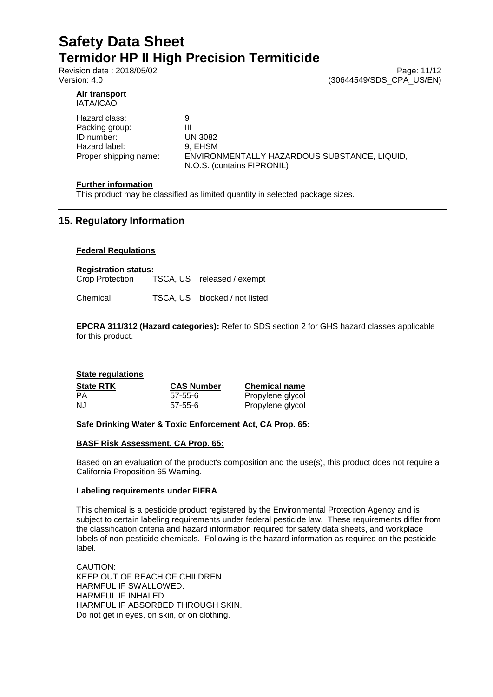Revision date : 2018/05/02 Page: 11/12

Version: 4.0 (30644549/SDS\_CPA\_US/EN)

#### **Air transport** IATA/ICAO

Hazard class: 9 Packing group: III ID number: UN 3082 Hazard label: 9, EHSM

Proper shipping name: ENVIRONMENTALLY HAZARDOUS SUBSTANCE, LIQUID, N.O.S. (contains FIPRONIL)

### **Further information**

This product may be classified as limited quantity in selected package sizes.

# **15. Regulatory Information**

### **Federal Regulations**

**Registration status:** TSCA, US released / exempt

Chemical TSCA, US blocked / not listed

**EPCRA 311/312 (Hazard categories):** Refer to SDS section 2 for GHS hazard classes applicable for this product.

## **State regulations State RTK CAS Number Chemical name**<br> **PA CAS Number Chemical name**<br> **PRODUGE PRODUGE PRODUGE PRODUGE** 57-55-6 Propylene glycol NJ 57-55-6 Propylene glycol

# **Safe Drinking Water & Toxic Enforcement Act, CA Prop. 65:**

### **BASF Risk Assessment, CA Prop. 65:**

Based on an evaluation of the product's composition and the use(s), this product does not require a California Proposition 65 Warning.

### **Labeling requirements under FIFRA**

This chemical is a pesticide product registered by the Environmental Protection Agency and is subject to certain labeling requirements under federal pesticide law. These requirements differ from the classification criteria and hazard information required for safety data sheets, and workplace labels of non-pesticide chemicals. Following is the hazard information as required on the pesticide label.

CAUTION: KEEP OUT OF REACH OF CHILDREN. HARMFUL IF SWALLOWED. HARMFUL IF INHALED. HARMFUL IF ABSORBED THROUGH SKIN. Do not get in eyes, on skin, or on clothing.